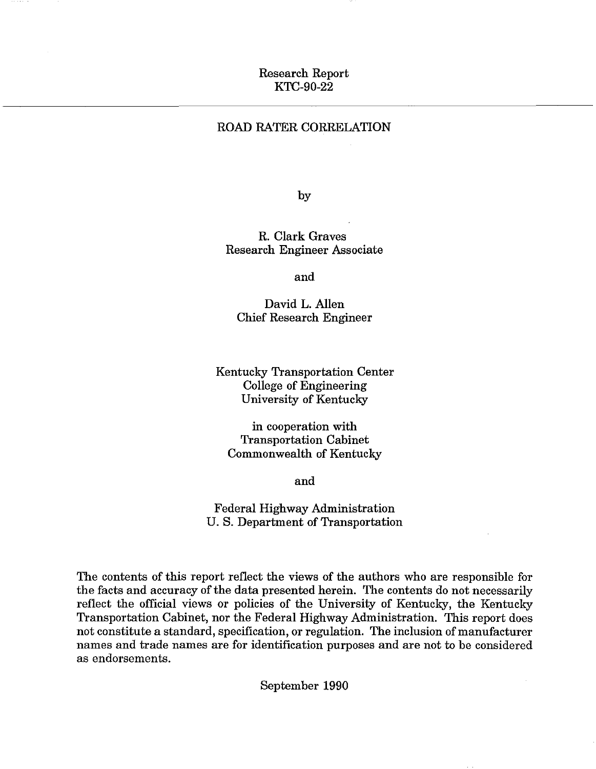# Research Report KTC-90-22

# ROAD RATER CORRELATION

by

R. Clark Graves Research Engineer Associate

and

David L. Allen Chief Research Engineer

Kentucky Transportation Center College of Engineering University of Kentucky

in cooperation with Transportation Cabinet Commonwealth of Kentucky

and

Federal Highway Administration U. S. Department of Transportation

The contents of this report reflect the views of the authors who are responsible for the facts and accuracy of the data presented herein. The contents do not necessarily reflect the official views or policies of the University of Kentucky, the Kentucky Transportation Cabinet, nor the Federal Highway Administration. This report does not constitute a standard, specification, or regulation. The inclusion of manufacturer names and trade names are for identification purposes and are not to be considered as endorsements.

September 1990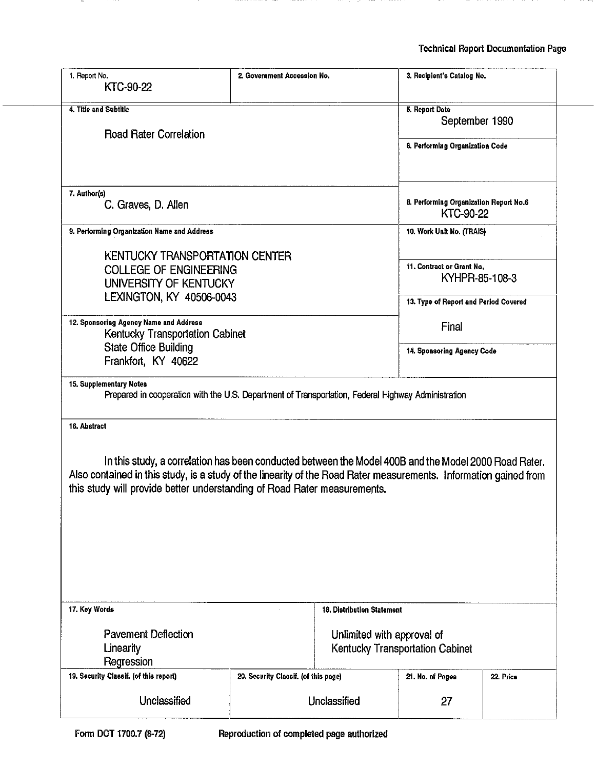| 1. Report No.<br>KTC-90-22                                                                                                                                                                    | 2. Government Accession No.                                                                           |                                                               |                                                            | 3. Recipient's Catalog No. |  |
|-----------------------------------------------------------------------------------------------------------------------------------------------------------------------------------------------|-------------------------------------------------------------------------------------------------------|---------------------------------------------------------------|------------------------------------------------------------|----------------------------|--|
| 4. Title and Subtitle                                                                                                                                                                         |                                                                                                       |                                                               | 5. Report Date                                             |                            |  |
| <b>Road Rater Correlation</b>                                                                                                                                                                 |                                                                                                       |                                                               | September 1990                                             |                            |  |
|                                                                                                                                                                                               |                                                                                                       | 6. Performing Organization Code                               |                                                            |                            |  |
| 7. Author(s)                                                                                                                                                                                  |                                                                                                       |                                                               |                                                            |                            |  |
| C. Graves, D. Allen                                                                                                                                                                           |                                                                                                       |                                                               | 8. Performing Organization Report No.6<br><b>KTC-90-22</b> |                            |  |
| 9. Performing Organization Name and Address                                                                                                                                                   |                                                                                                       |                                                               | 10. Work Unit No. (TRAIS)                                  |                            |  |
| <b>KENTUCKY TRANSPORTATION CENTER</b>                                                                                                                                                         |                                                                                                       |                                                               |                                                            |                            |  |
| <b>COLLEGE OF ENGINEERING</b>                                                                                                                                                                 |                                                                                                       |                                                               | 11. Contract or Grant No.                                  |                            |  |
| UNIVERSITY OF KENTUCKY                                                                                                                                                                        |                                                                                                       |                                                               | KYHPR-85-108-3                                             |                            |  |
| LEXINGTON, KY 40506-0043                                                                                                                                                                      |                                                                                                       |                                                               | 13. Type of Report and Period Covered                      |                            |  |
| 12. Sponsoring Agency Name and Address                                                                                                                                                        |                                                                                                       |                                                               | Final                                                      |                            |  |
| Kentucky Transportation Cabinet<br><b>State Office Building</b>                                                                                                                               |                                                                                                       |                                                               |                                                            |                            |  |
| Frankfort, KY 40622                                                                                                                                                                           | 14. Sponsoring Agency Code                                                                            |                                                               |                                                            |                            |  |
|                                                                                                                                                                                               |                                                                                                       |                                                               |                                                            |                            |  |
| Prepared in cooperation with the U.S. Department of Transportation, Federal Highway Administration<br>16. Abstract                                                                            |                                                                                                       |                                                               |                                                            |                            |  |
| Also contained in this study, is a study of the linearity of the Road Rater measurements. Information gained from<br>this study will provide better understanding of Road Rater measurements. | In this study, a correlation has been conducted between the Model 400B and the Model 2000 Road Rater. |                                                               |                                                            |                            |  |
| 17. Key Words                                                                                                                                                                                 | 18. Distribution Statement                                                                            |                                                               |                                                            |                            |  |
| <b>Pavement Deflection</b><br>Linearity<br>Regression                                                                                                                                         |                                                                                                       | Unlimited with approval of<br>Kentucky Transportation Cabinet |                                                            |                            |  |
| 19. Security Classif. (of this report)                                                                                                                                                        | 20. Security Classif. (of this page)                                                                  |                                                               | 21. No. of Pages                                           | 22. Price                  |  |
| Unclassified                                                                                                                                                                                  |                                                                                                       | Unclassified                                                  | 27                                                         |                            |  |
|                                                                                                                                                                                               |                                                                                                       |                                                               |                                                            |                            |  |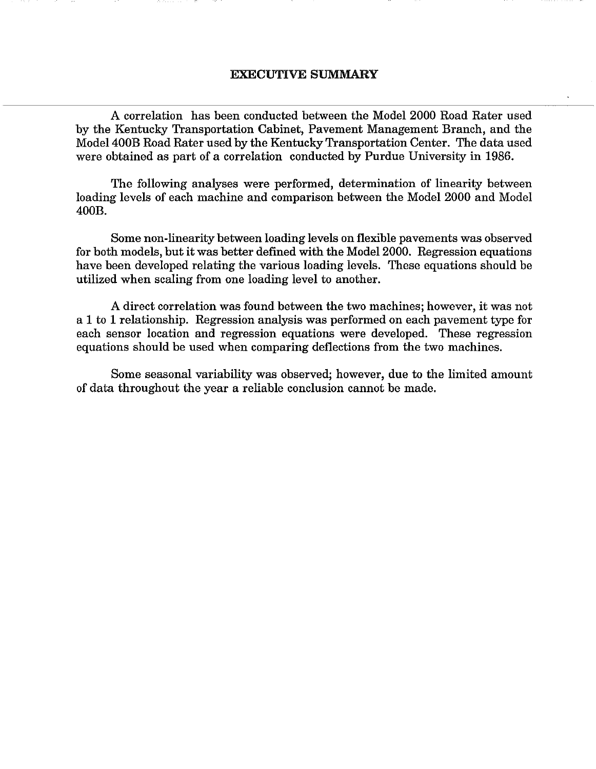#### EXECUTIVE SUMMARY

A correlation has been conducted between the Model 2000 Road Rater used by the Kentucky Transportation Cabinet, Pavement Management Branch, and the Model400B Road Rater used by the Kentucky Transportation Center. The data used were obtained as part of a correlation conducted by Purdue University in 1986.

The following analyses were performed, determination of linearity between loading levels of each machine and comparison between the Model 2000 and Model 400B.

Some non-linearity between loading levels on flexible pavements was observed for both models, but it was better defined with the Model 2000. Regression equations have been developed relating the various loading levels. These equations should be utilized when scaling from one loading level to another.

A direct correlation was found between the two machines; however, it was not a 1 to 1 relationship. Regression analysis was performed on each pavement type for each sensor location and regression equations were developed. These regression equations should be used when comparing deflections from the two machines.

Some seasonal variability was observed; however, due to the limited amount of data throughout the year a reliable conclusion cannot be made.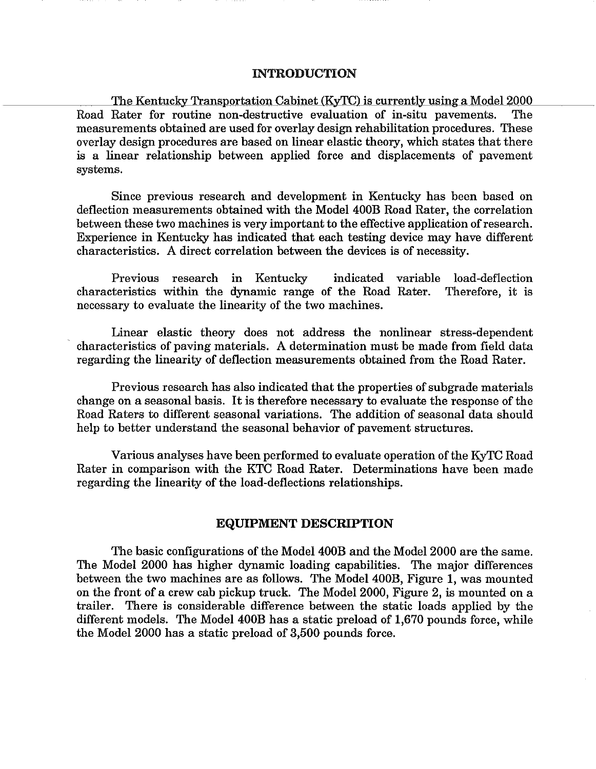#### INTRODUCTION

The Kentucky Transportation Cabinet (KyTC) is currently using a Model 2000 Road Rater for routine non-destructive evaluation of in-situ pavements. The measurements obtained are used for overlay design rehabilitation procedures. These overlay design procedures are based on linear elastic theory, which states that there is a linear relationship between applied force and displacements of pavement systems.

Since previous research and development in Kentucky has been based on deflection measurements obtained with the Model 400B Road Rater, the correlation between these two machines is very important to the effective application of research. Experience in Kentucky has indicated that each testing device may have different characteristics. A direct correlation between the devices is of necessity.

Previous research in Kentucky indicated variable load-deflection characteristics within the dynamic range of the Road Rater. Therefore, it is necessary to evaluate the linearity of the two machines.

Linear elastic theory does not address the nonlinear stress-dependent characteristics of paving materials. A determination must be made from field data regarding the linearity of deflection measurements obtained from the Road Rater.

Previous research has also indicated that the properties of subgrade materials change on a seasonal basis. It is therefore necessary to evaluate the response of the Road Raters to different seasonal variations. The addition of seasonal data should help to better understand the seasonal behavior of pavement structures.

Various analyses have been performed to evaluate operation of the KyTC Road Rater in comparison with the KTC Road Rater. Determinations have been made regarding the linearity of the load-deflections relationships.

#### EQUIPMENT DESCRIPTION

The basic configurations of the Model 400B and the Model 2000 are the same. The Model 2000 has higher dynamic loading capabilities. The major differences between the two machines are as follows. The Model 400B, Figure 1, was mounted on the front of a crew cab pickup truck. The Model 2000, Figure 2, is mounted on a trailer. There is considerable difference between the static loads applied by the different models. The Model 400B has a static preload of 1,670 pounds force, while the Model 2000 has a static preload of 3,500 pounds force.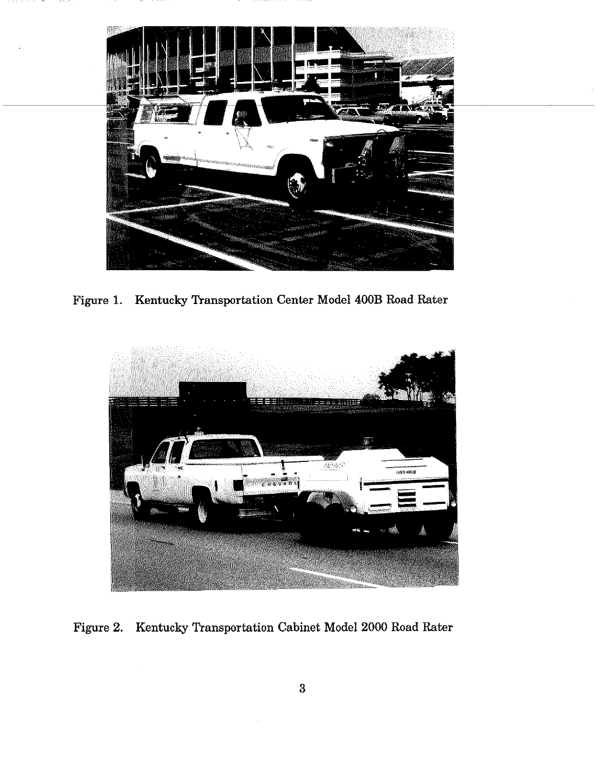

Figure 1. Kentucky Transportation Center Model 400B Road Rater



Figure 2. Kentucky Transportation Cabinet Model 2000 Road Rater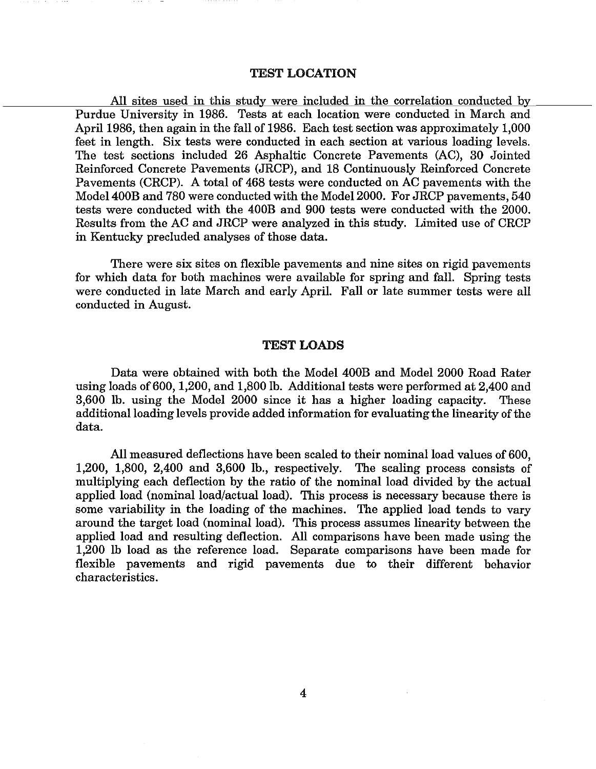#### TEST LOCATION

All sites used in this study were included in the correlation conducted by Purdue University in 1986. Tests at each location were conducted in March and April 1986, then again in the fall of 1986. Each test section was approximately 1,000 feet in length. Six tests were conducted in each section at various loading levels. The test sections included 26 Asphaltic Concrete Pavements (AC), 30 Jointed Reinforced Concrete Pavements (JRCP), and 18 Continuously Reinforced Concrete Pavements (CRCP). A total of 468 tests were conducted on AC pavements with the Model 400B and 780 were conducted with the Model 2000. For JRCP pavements, 540 tests were conducted with the 400B and 900 tests were conducted with the 2000. Results from the AC and JRCP were analyzed in this study. Limited use of CRCP in Kentucky precluded analyses of those data.

There were six sites on flexible pavements and nine sites on rigid pavements for which data for both machines were available for spring and fall. Spring tests were conducted in late March and early April. Fall or late summer tests were all conducted in August.

## TEST LOADS

Data were obtained with both the Model 400B and Model 2000 Road Rater using loads of600, 1,200, and 1,800 lb. Additional tests were performed at 2,400 and 3,600 lb. using the Model 2000 since it has a higher loading capacity. These additional loading levels provide added information for evaluating the linearity of the data.

All measured deflections have been scaled to their nominal load values of 600, 1,200, 1,800, 2,400 and 3,600 lb., respectively. The scaling process consists of multiplying each deflection by the ratio of the nominal load divided by the actual applied load (nominal load/actual load). This process is necessary because there is some variability in the loading of the machines. The applied load tends to vary around the target load (nominal load). This process assumes linearity between the applied load and resulting deflection. All comparisons have been made using the 1,200 lb load as the reference load. Separate comparisons have been made for flexible pavements and rigid pavements due to their different behavior characteristics.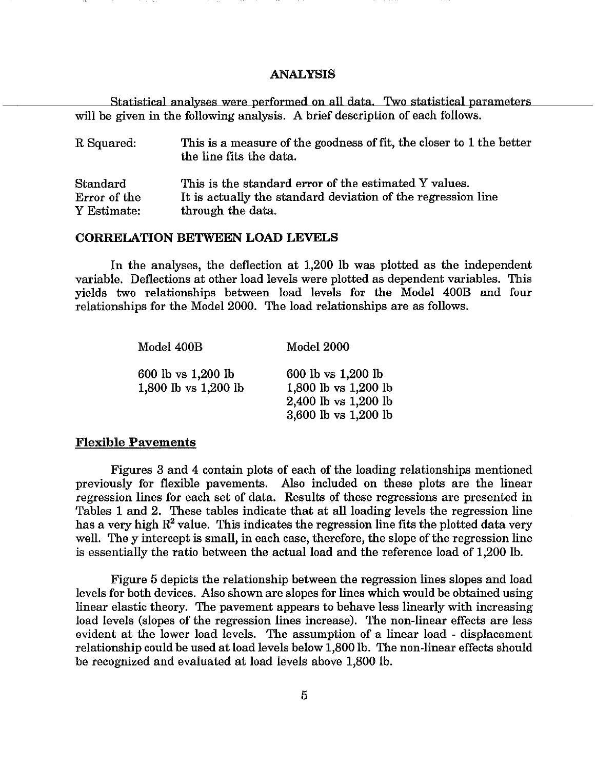#### ANALYSIS

Statistical analyses were performed on all data. Two statistical parameters will be given in the following analysis. A brief description of each follows.

| R Squared:   | This is a measure of the goodness of fit, the closer to 1 the better<br>the line fits the data. |
|--------------|-------------------------------------------------------------------------------------------------|
| Standard     | This is the standard error of the estimated Y values.                                           |
| Error of the | It is actually the standard deviation of the regression line                                    |
| Y Estimate:  | through the data.                                                                               |

## CORRELATION BETWEEN LOAD LEVELS

In the analyses, the deflection at 1,200 lb was plotted as the independent variable. Deflections at other load levels were plotted as dependent variables. This yields two relationships between load levels for the Model 400B and four relationships for the Model 2000. The load relationships are as follows.

| Model 400B                                 | <b>Model 2000</b>                                                                          |
|--------------------------------------------|--------------------------------------------------------------------------------------------|
| 600 lb vs 1,200 lb<br>1,800 lb vs 1,200 lb | 600 lb vs 1,200 lb<br>1,800 lb vs 1,200 lb<br>2,400 lb vs 1,200 lb<br>3,600 lb vs 1,200 lb |

#### Flexible Pavements

Figures 3 and 4 contain plots of each of the loading relationships mentioned previously for flexible pavements. Also included on these plots are the linear regression lines for each set of data. Results of these regressions are presented in Tables 1 and 2. These tables indicate that at all loading levels the regression line has a very high  $R^2$  value. This indicates the regression line fits the plotted data very well. The y intercept is small, in each case, therefore, the slope of the regression line is essentially the ratio between the actual load and the reference load of 1,200 lb.

Figure 5 depicts the relationship between the regression lines slopes and load levels for both devices. Also shown are slopes for lines which would be obtained using linear elastic theory. The pavement appears to behave less linearly with increasing load levels (slopes of the regression lines increase). The non-linear effects are less evident at the lower load levels. The assumption of a linear load - displacement relationship could be used at load levels below 1,800 lb. The non-linear effects should be recognized and evaluated at load levels above 1,800 lb.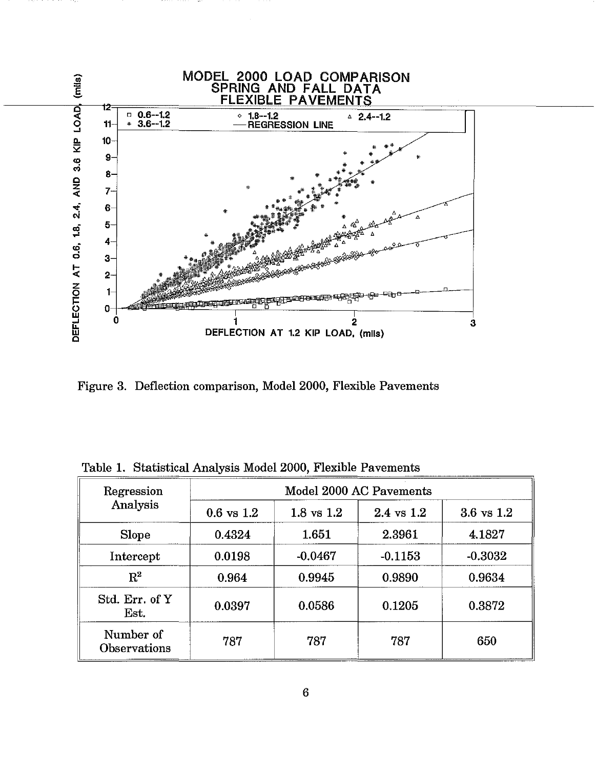

Figure 3. Deflection comparison, Model 2000, Flexible Pavements

|  |  |  |  |  |  | Table 1. Statistical Analysis Model 2000, Flexible Pavements |
|--|--|--|--|--|--|--------------------------------------------------------------|
|--|--|--|--|--|--|--------------------------------------------------------------|

| Regression                | Model 2000 AC Pavements |                |                       |                       |  |  |
|---------------------------|-------------------------|----------------|-----------------------|-----------------------|--|--|
| Analysis                  | $0.6 \text{ vs } 1.2$   | $1.8$ vs $1.2$ | $2.4 \text{ vs } 1.2$ | $3.6 \text{ vs } 1.2$ |  |  |
| <b>Slope</b>              | 0.4324                  | 1.651          | 2.3961                | 4.1827                |  |  |
| Intercept                 | 0.0198                  | $-0.0467$      | $-0.1153$             | $-0.3032$             |  |  |
| $\rm R^2$                 | 0.964                   | 0.9945         | 0.9890                | 0.9634                |  |  |
| Std. Err. of Y<br>Est.    | 0.0397                  | 0.0586         | 0.1205                | 0.3872                |  |  |
| Number of<br>Observations | 787                     | 787            | 787                   | 650                   |  |  |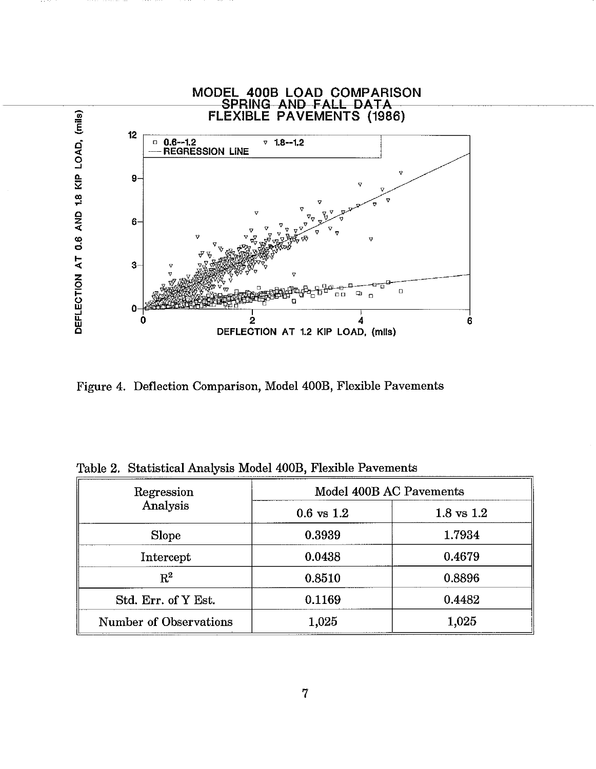

Figure 4. Deflection Comparison, Model 400B, Flexible Pavements

|  |  |  |  |  |  |  | Table 2. Statistical Analysis Model 400B, Flexible Pavements |
|--|--|--|--|--|--|--|--------------------------------------------------------------|
|--|--|--|--|--|--|--|--------------------------------------------------------------|

| Regression             | Model 400B AC Pavements |                       |  |  |
|------------------------|-------------------------|-----------------------|--|--|
| Analysis               | $0.6$ vs $1.2$          | $1.8 \text{ vs } 1.2$ |  |  |
| Slope                  | 0.3939                  | 1.7934                |  |  |
| Intercept              | 0.0438                  | 0.4679                |  |  |
| $\rm R^2$              | 0.8510                  | 0.8896                |  |  |
| Std. Err. of Y Est.    | 0.1169                  | 0.4482                |  |  |
| Number of Observations | 1,025                   | 1,025                 |  |  |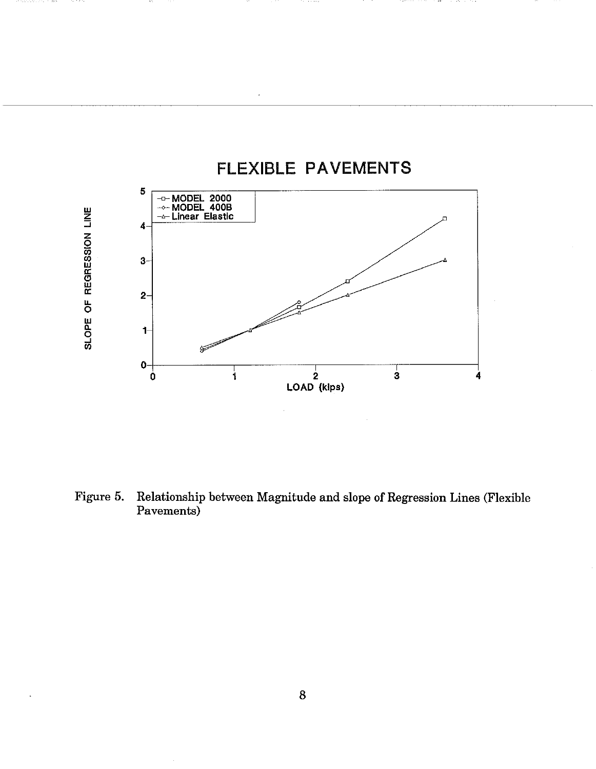

stantists in the company

Figure 5. Relationship between Magnitude and slope of Regression Lines (Flexible Pavements)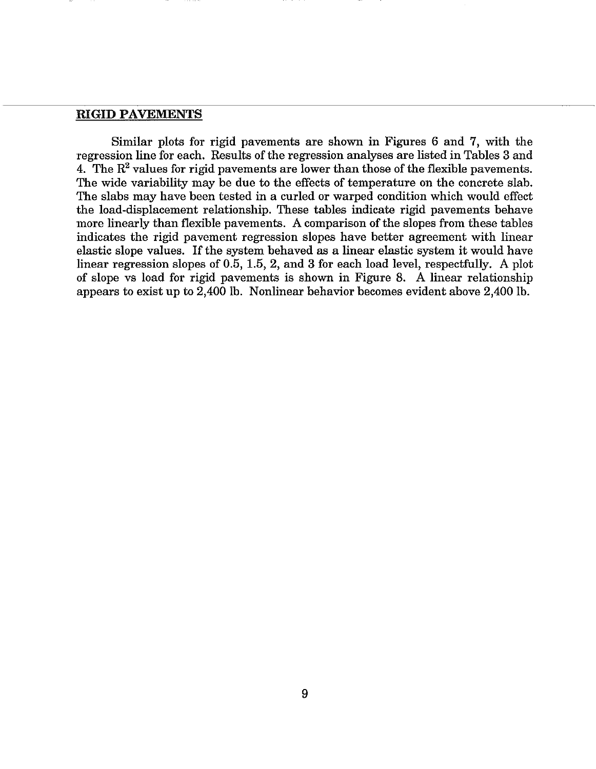## RIGID PAVEMENTS

Similar plots for rigid pavements are shown in Figures 6 and 7, with the regression line for each. Results of the regression analyses are listed in Tables 3 and 4. The  $R^2$  values for rigid pavements are lower than those of the flexible pavements. The wide variability may be due to the effects of temperature on the concrete slab. The slabs may have been tested in a curled or warped condition which would effect the load-displacement relationship. These tables indicate rigid pavements behave more linearly than flexible pavements. A comparison of the slopes from these tables indicates the rigid pavement regression slopes have better agreement with linear elastic slope values. If the system behaved as a linear elastic system it would have linear regression slopes of 0.5, 1.5, 2, and 3 for each load level, respectfully. A plot of slope vs load for rigid pavements is shown in Figure 8. A linear relationship appears to exist up to 2,400 lb. Nonlinear behavior becomes evident above 2,400 lb.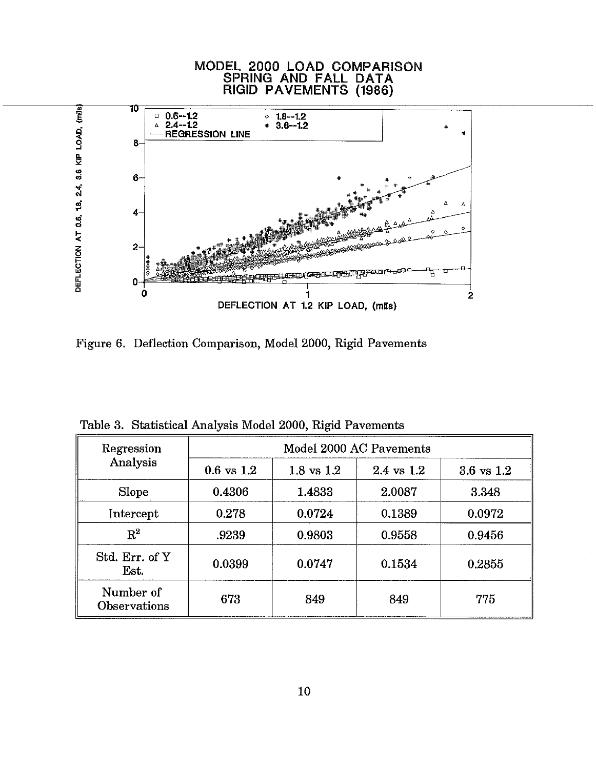

Figure 6. Deflection Comparison, Model 2000, Rigid Pavements

| Regression                       | Model 2000 AC Pavements |                       |                       |                       |  |  |  |
|----------------------------------|-------------------------|-----------------------|-----------------------|-----------------------|--|--|--|
| Analysis                         | $0.6 \text{ vs } 1.2$   | $1.8 \text{ vs } 1.2$ | $2.4 \text{ vs } 1.2$ | $3.6 \text{ vs } 1.2$ |  |  |  |
| Slope                            | 0.4306                  | 1.4833                | 2.0087                | 3.348                 |  |  |  |
| Intercept                        | 0.278                   | 0.0724                | 0.1389                | 0.0972                |  |  |  |
| $\rm R^2$                        | .9239                   | 0.9803                | 0.9558                | 0.9456                |  |  |  |
| Std. Err. of Y<br>Est.           | 0.0399                  | 0.0747                | 0.1534                | 0.2855                |  |  |  |
| Number of<br><b>Observations</b> | 673                     | 849                   | 849                   | 775                   |  |  |  |

Table 3. Statistical Analysis Model 2000, Rigid Pavements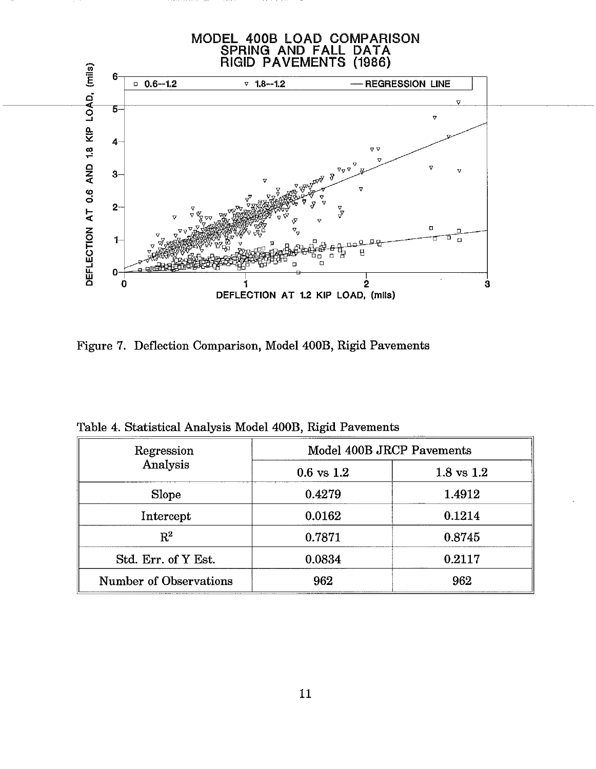

Figure 7. Deflection Comparison, Model 400B, Rigid Pavements

| Regression                    | Model 400B JRCP Pavements |                       |  |  |
|-------------------------------|---------------------------|-----------------------|--|--|
| Analysis                      | $0.6 \text{ vs } 1.2$     | $1.8 \text{ vs } 1.2$ |  |  |
| <b>Slope</b>                  | 0.4279                    | 1.4912                |  |  |
| Intercept                     | 0.0162                    | 0.1214                |  |  |
| $R^2$                         | 0.7871                    | 0.8745                |  |  |
| Std. Err. of Y Est.           | 0.0834                    | 0.2117                |  |  |
| <b>Number of Observations</b> | 962                       | 962                   |  |  |

Table 4. Statistical Analysis Model 400B, Rigid Pavements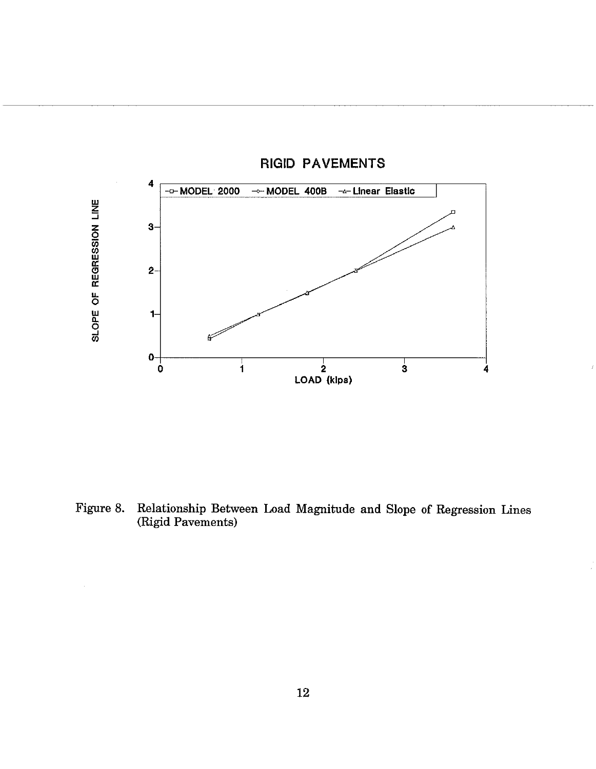

RIGID PAVEMENTS

Figure 8. Relationship Between Load Magnitude and Slope of Regression Lines (Rigid Pavements)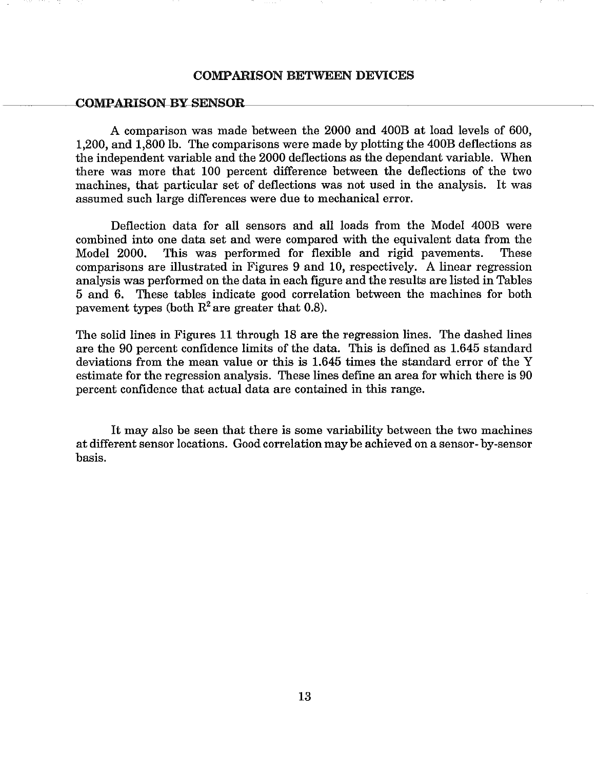#### COMPARISON BETWEEN DEVICES

#### COMPARISON BY SENSOR

A comparison was made between the 2000 and 400B at load levels of 600, 1,200, and 1,800 lb. The comparisons were made by plotting the 400B deflections as the independent variable and the 2000 deflections as the dependant variable. When there was more that 100 percent difference between the deflections of the two machines, that particular set of deflections was not used in the analysis. It was assumed such large differences were due to mechanical error.

Deflection data for all sensors and all loads from the Model 400B were combined into one data set and were compared with the equivalent data from the Model 2000. This was performed for flexible and rigid pavements. These comparisons are illustrated in Figures 9 and 10, respectively. A linear regression analysis was performed on the data in each figure and the results are listed in Tables 5 and 6. These tables indicate good correlation between the machines for both pavement types (both  $R^2$  are greater that 0.8).

The solid lines in Figures 11 through 18 are the regression lines. The dashed lines are the 90 percent confidence limits of the data. This is defined as 1.645 standard deviations from the mean value or this is 1.645 times the standard error of the Y estimate for the regression analysis. These lines define an area for which there is 90 percent confidence that actual data are contained in this range.

It may also be seen that there is some variability between the two machines at different sensor locations. Good correlation may be achieved on a sensor- by-sensor basis.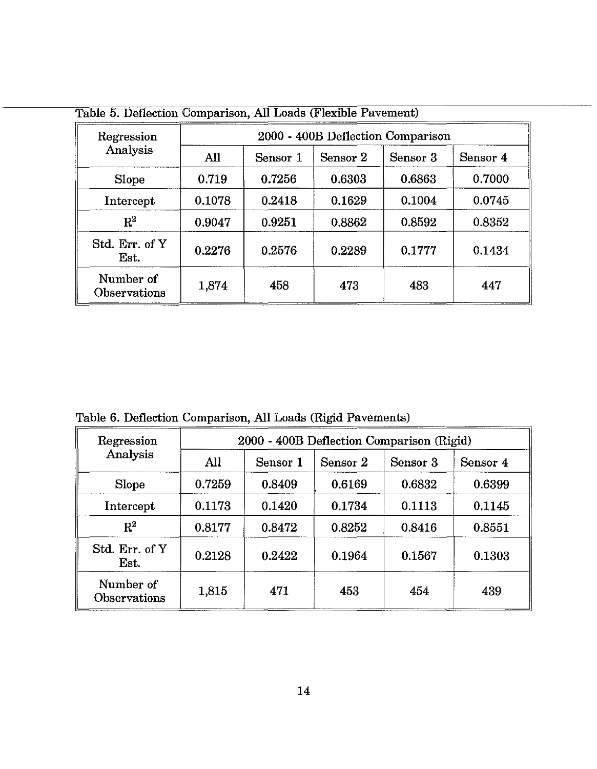| Regression                | 2000 - 400B Deflection Comparison |          |          |          |          |  |
|---------------------------|-----------------------------------|----------|----------|----------|----------|--|
| Analysis                  | All                               | Sensor 1 | Sensor 2 | Sensor 3 | Sensor 4 |  |
| Slope                     | 0.719                             | 0.7256   | 0.6303   | 0.6863   | 0.7000   |  |
| Intercept                 | 0.1078                            | 0.2418   | 0.1629   | 0.1004   | 0.0745   |  |
| $R^2$                     | 0.9047                            | 0.9251   | 0.8862   | 0.8592   | 0.8352   |  |
| Std. Err. of Y<br>Est.    | 0.2276                            | 0.2576   | 0.2289   | 0.1777   | 0.1434   |  |
| Number of<br>Observations | 1,874                             | 458      | 473      | 483      | 447      |  |

Table 5. Deflection Comparison, All Loads (Flexible Pavement)

Table 6. Deflection Comparison, All Loads (Rigid Pavements)

| Regression                       | 2000 - 400B Deflection Comparison (Rigid) |          |          |          |          |  |
|----------------------------------|-------------------------------------------|----------|----------|----------|----------|--|
| Analysis                         | All                                       | Sensor 1 | Sensor 2 | Sensor 3 | Sensor 4 |  |
| Slope                            | 0.7259                                    | 0.8409   | 0.6169   | 0.6832   | 0.6399   |  |
| Intercept                        | 0.1173                                    | 0.1420   | 0.1734   | 0.1113   | 0.1145   |  |
| $\rm R^2$                        | 0.8177                                    | 0.8472   | 0.8252   | 0.8416   | 0.8551   |  |
| Std. Err. of Y<br>Est.           | 0.2128                                    | 0.2422   | 0.1964   | 0.1567   | 0.1303   |  |
| Number of<br><b>Observations</b> | 1,815                                     | 471      | 453      | 454      | 439      |  |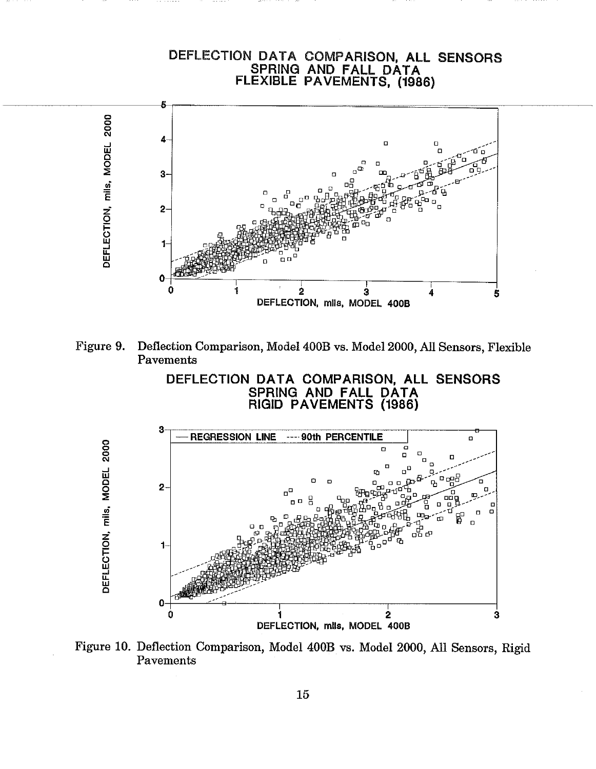# DEFLECTION DATA COMPARISON, All SENSORS SPRING AND FAll DATA FLEXIBLE PAVEMENTS, (1986)









Figure 10. Deflection Comparison, Model 400B vs. Model 2000, All Sensors, Rigid Pavements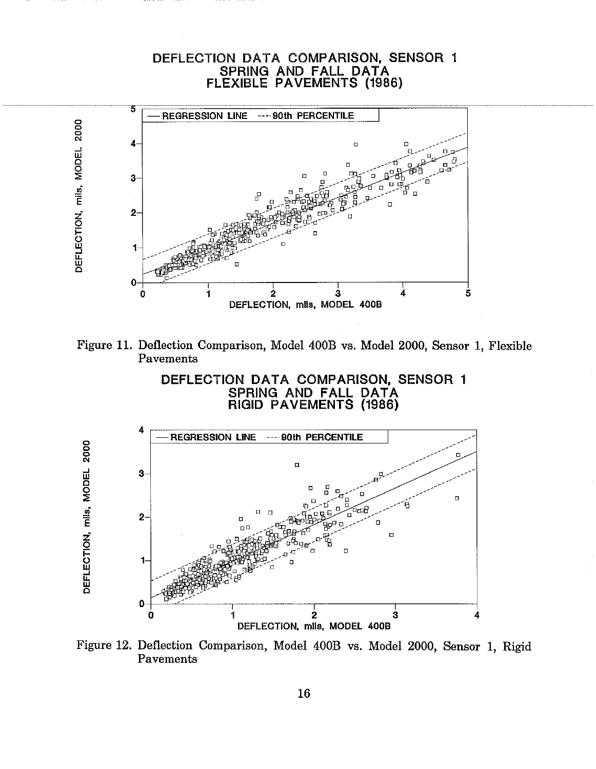# DEFLECTION DATA COMPARISON, SENSOR 1 SPRING AND FALL DATA FLEXIBLE PAVEMENTS (1986)









Figure 12. Deflection Comparison, Model 400B vs. Model 2000, Sensor 1, Rigid Pavements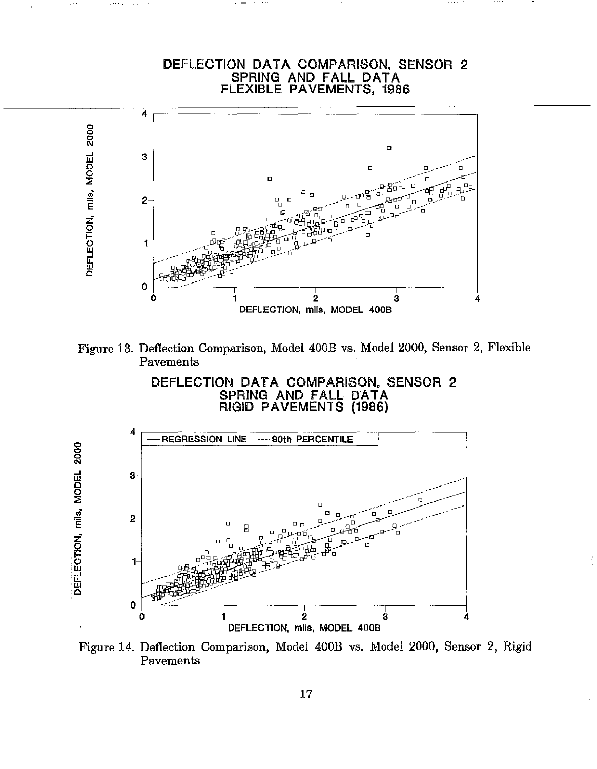# DEFLECTION DATA COMPARISON, SENSOR 2 SPRING AND FAll DATA FLEXIBLE PAVEMENTS, 1986



Figure 13. Deflection Comparison, Model 400B vs. Model 2000, Sensor 2, Flexible Pavements

DEFLECTION DATA COMPARISON, SENSOR 2 SPRING AND FAll DATA RIGID PAVEMENTS (1986)



Figure 14. Deflection Comparison, Model 400B vs. Model 2000, Sensor 2, Rigid Pavements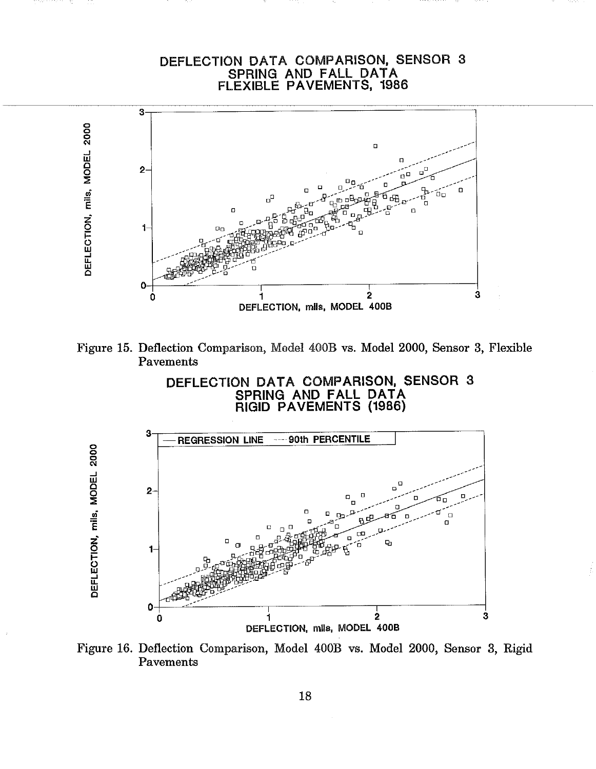# DEFLECTION DATA COMPARISON, SENSOR 3<br>SPRING AND FALL DATA<br>FLEXIBLE PAVEMENTS, 1986









Figure 16. Deflection Comparison, Model 400B vs. Model 2000, Sensor 3, Rigid Pavements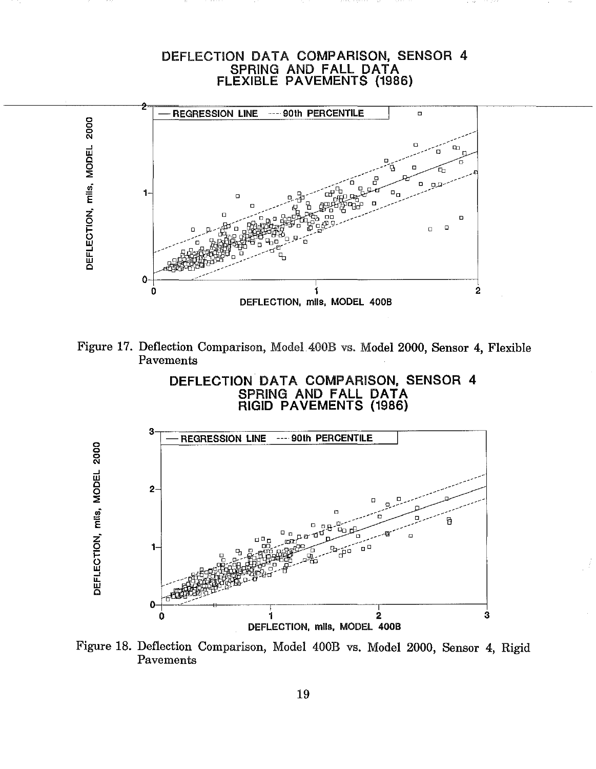# DEFLECTION DATA COMPARISON, SENSOR 4 SPRING AND FALL DATA FLEXIBLE PAVEMENTS (1986) REGRESSION LINE --- 90th PERCENTILE  $\overline{a}$ DEFLECTION, mils, MODEL 2000  $\ddagger$ D П  $\Box$ 0 Ó 1  $\overline{2}$ DEFLECTION, mils, MODEL 400B



DEFLECTION DATA COMPARISON, SENSOR 4 SPRING AND FALL DATA<br>RIGID PAVEMENTS (1986)



Figure 18. Deflection Comparison, Model 400B vs. Model 2000, Sensor 4, Rigid Pavements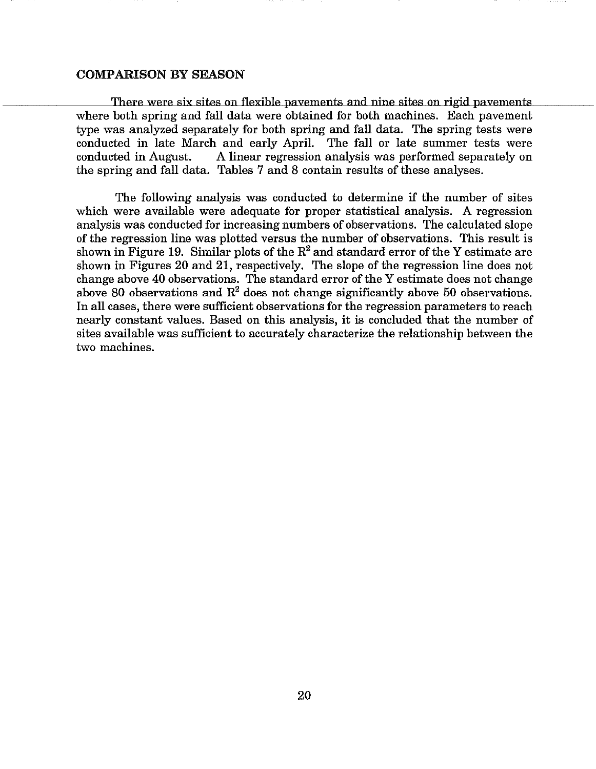#### COMPARISON BY SEASON

There were six sites on flexible pavements and nine sites on rigid pavements where both spring and fall data were obtained for both machines. Each pavement type was analyzed separately for both spring and fall data. The spring tests were conducted in late March and early April. The fall or late summer tests were conducted in August. A linear regression analysis was performed separately on the spring and fall data. Tables 7 and 8 contain results of these analyses.

The following analysis was conducted to determine if the number of sites which were available were adequate for proper statistical analysis. A regression analysis was conducted for increasing numbers of observations. The calculated slope of the regression line was plotted versus the number of observations. This result is shown in Figure 19. Similar plots of the  $R^2$  and standard error of the Y estimate are shown in Figures 20 and 21, respectively. The slope of the regression line does not change above 40 observations. The standard error of the Y estimate does not change above 80 observations and  $R^2$  does not change significantly above 50 observations. In all cases, there were sufficient observations for the regression parameters to reach nearly constant values. Based on this analysis, it is concluded that the number of sites available was sufficient to accurately characterize the relationship between the two machines.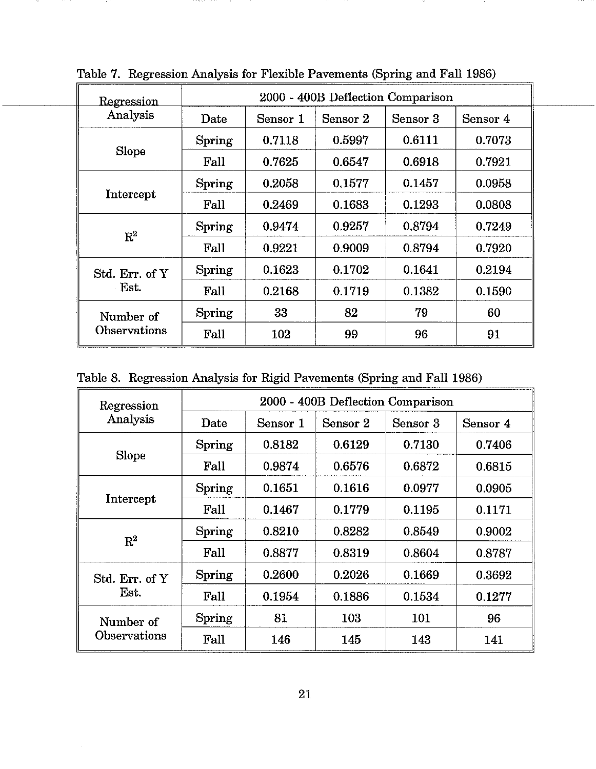| Regression     | 2000 - 400B Deflection Comparison |          |          |          |          |  |
|----------------|-----------------------------------|----------|----------|----------|----------|--|
| Analysis       | Date                              | Sensor 1 | Sensor 2 | Sensor 3 | Sensor 4 |  |
|                | Spring                            | 0.7118   | 0.5997   | 0.6111   | 0.7073   |  |
| Slope          | Fall                              | 0.7625   | 0.6547   | 0.6918   | 0.7921   |  |
|                | Spring                            | 0.2058   | 0.1577   | 0.1457   | 0.0958   |  |
| Intercept      | $_{\rm Fall}$                     | 0.2469   | 0.1683   | 0.1293   | 0.0808   |  |
| $R^2$          | Spring                            | 0.9474   | 0.9257   | 0.8794   | 0.7249   |  |
|                | Fall                              | 0.9221   | 0.9009   | 0.8794   | 0.7920   |  |
| Std. Err. of Y | Spring                            | 0.1623   | 0.1702   | 0.1641   | 0.2194   |  |
| Est.           | Fall                              | 0.2168   | 0.1719   | 0.1382   | 0.1590   |  |
| Number of      | Spring                            | 33       | 82       | 79       | 60       |  |
| Observations   | Fall                              | 102      | 99       | 96       | 91       |  |

Table 7. Regression Analysis for Flexible Pavements (Spring and Fall 1986)

Table 8. Regression Analysis for Rigid Pavements (Spring and Fall 1986)

| Regression                | 2000 - 400B Deflection Comparison |          |          |          |          |
|---------------------------|-----------------------------------|----------|----------|----------|----------|
| Analysis                  | Date                              | Sensor 1 | Sensor 2 | Sensor 3 | Sensor 4 |
| <b>Slope</b>              | <b>Spring</b>                     | 0.8182   | 0.6129   | 0.7130   | 0.7406   |
|                           | Fall                              | 0.9874   | 0.6576   | 0.6872   | 0.6815   |
| Intercept                 | Spring                            | 0.1651   | 0.1616   | 0.0977   | 0.0905   |
|                           | Fall                              | 0.1467   | 0.1779   | 0.1195   | 0.1171   |
| $R^2$                     | Spring                            | 0.8210   | 0.8282   | 0.8549   | 0.9002   |
|                           | Fall                              | 0.8877   | 0.8319   | 0.8604   | 0.8787   |
| Std. Err. of Y<br>Est.    | <b>Spring</b>                     | 0.2600   | 0.2026   | 0.1669   | 0.3692   |
|                           | Fall                              | 0.1954   | 0.1886   | 0.1534   | 0.1277   |
| Number of<br>Observations | Spring                            | 81       | 103      | 101      | 96       |
|                           | Fall                              | 146      | 145      | 143      | 141      |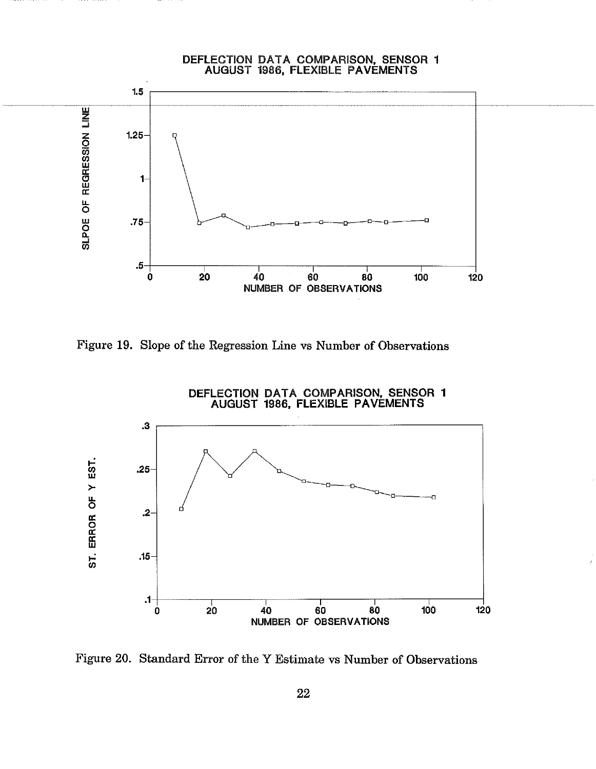

Figure 19. Slope of the Regression Line vs Number of Observations



Figure 20. Standard Error of the Y Estimate vs Number of Observations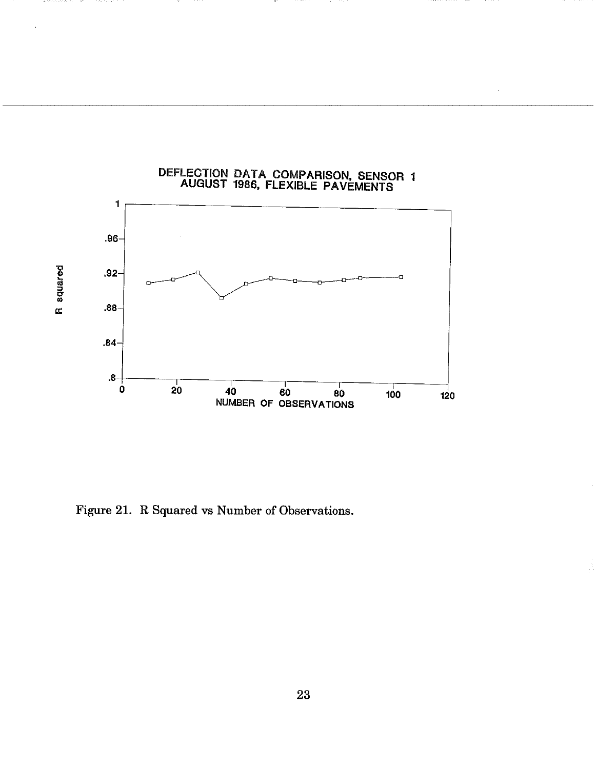

Figure 21. R Squared vs Number of Observations.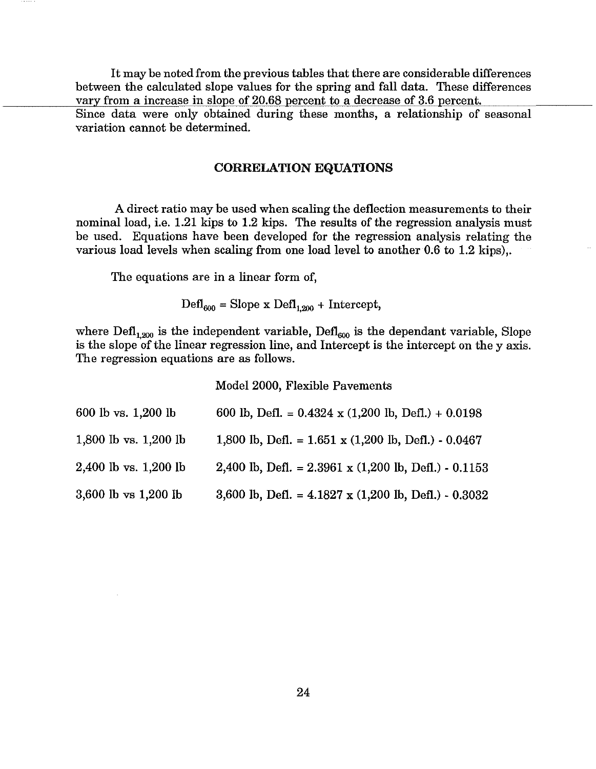It may be noted from the previous tables that there are considerable differences between the calculated slope values for the spring and fall data. These differences vary from a increase in slope of 20.68 percent to a decrease of 3.6 percent. Since data were only obtained during these months, a relationship of seasonal variation cannot be determined.

# CORRELATION EQUATIONS

A direct ratio may be used when scaling the deflection measurements to their nominal load, i.e. 1.21 kips to 1.2 kips. The results of the regression analysis must be used. Equations have been developed for the regression analysis relating the various load levels when scaling from one load level to another 0.6 to 1.2 kips),.

The equations are in a linear form of,

 $\text{DefI}_{600}$  = Slope x  $\text{DefI}_{1,200}$  + Intercept,

where  $\text{Defl}_{1,200}$  is the independent variable,  $\text{Defl}_{600}$  is the dependant variable, Slope is the slope of the linear regression line, and Intercept is the intercept on the y axis. The regression equations are as follows.

Model 2000, Flexible Pavements

| 600 lb vs. 1,200 lb   | 600 lb, Defl. = $0.4324 \times (1,200 \text{ lb}, \text{Defl.}) + 0.0198$    |
|-----------------------|------------------------------------------------------------------------------|
| 1,800 lb vs. 1,200 lb | 1,800 lb, Defl. = $1.651 \times (1,200 \text{ lb}, \text{Defl.}) - 0.0467$   |
| 2,400 lb vs. 1,200 lb | 2,400 lb, Defl. = $2.3961 \times (1,200 \text{ lb}, \text{ Defl.}) - 0.1153$ |
| 3,600 lb vs 1,200 lb  | 3,600 lb, Defl. = $4.1827 \times (1,200 \text{ lb}, \text{ Defl.}) - 0.3032$ |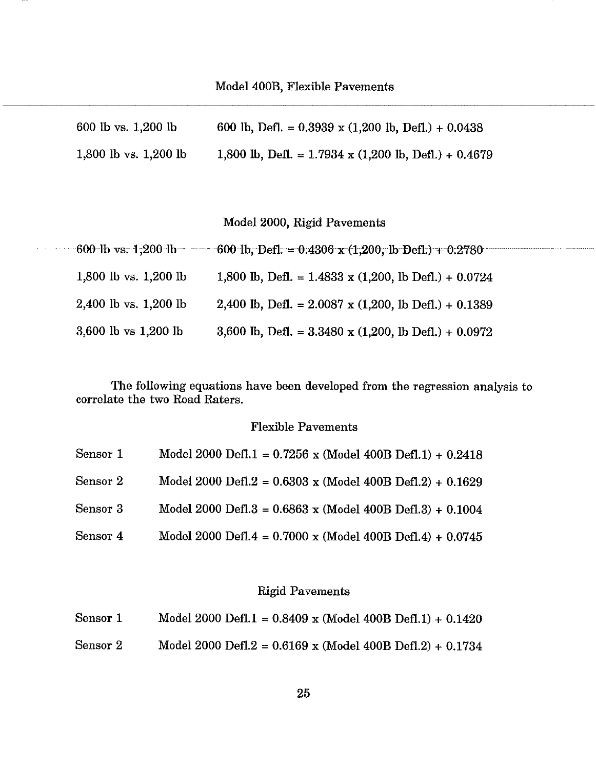| 600 lb vs. 1,200 lb     | 600 lb, Defl. = $0.3939 \times (1,200 \text{ lb}, \text{Defl.}) + 0.0438$   |
|-------------------------|-----------------------------------------------------------------------------|
| 1,800 lb vs. $1,200$ lb | 1,800 lb, Defl. = $1.7934 \times (1,200 \text{ lb}, \text{Defl.}) + 0.4679$ |

Model 2000, Rigid Pavements

| $-600$ lb vs. $1,200$ lb | 600 lb, Defl. = $0.4306 \times (1,200)$ , lb Defl.) + $0.2780$       |
|--------------------------|----------------------------------------------------------------------|
| 1,800 lb vs. $1,200$ lb  | 1,800 lb, Defl. = $1.4833$ x (1,200, lb Defl.) + 0.0724              |
| 2,400 lb vs. 1,200 lb    | 2,400 lb, Defl. = $2.0087 \times (1,200, \text{ lb Defl.}) + 0.1389$ |
| 3,600 lb vs 1,200 lb     | 3,600 lb, Defl. = $3.3480 \times (1,200, \text{ lb Defl.}) + 0.0972$ |

The following equations have been developed from the regression analysis to correlate the two Road Raters.

# Flexible Pavements

| Sensor 1 | Model 2000 Defl.1 = $0.7256$ x (Model 400B Defl.1) + $0.2418$      |
|----------|--------------------------------------------------------------------|
| Sensor 2 | Model 2000 Defl.2 = $0.6303$ x (Model 400B Defl.2) + $0.1629$      |
| Sensor 3 | Model 2000 Defl.3 = $0.6863$ x (Model 400B Defl.3) + $0.1004$      |
| Sensor 4 | Model 2000 Defl.4 = $0.7000 \times$ (Model 400B Defl.4) + $0.0745$ |

# Rigid Pavements

| Sensor 1 | Model 2000 Defl.1 = $0.8409$ x (Model 400B Defl.1) + $0.1420$ |
|----------|---------------------------------------------------------------|
| Sensor 2 | Model 2000 Defl.2 = $0.6169$ x (Model 400B Defl.2) + $0.1734$ |